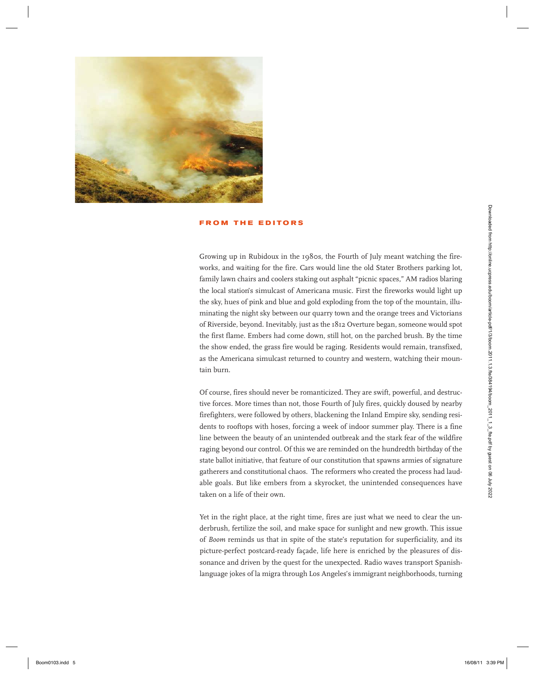

## **from the editors**

Growing up in Rubidoux in the 1980s, the Fourth of July meant watching the fireworks, and waiting for the fire. Cars would line the old Stater Brothers parking lot, family lawn chairs and coolers staking out asphalt "picnic spaces," AM radios blaring the local station's simulcast of Americana music. First the fireworks would light up the sky, hues of pink and blue and gold exploding from the top of the mountain, illuminating the night sky between our quarry town and the orange trees and Victorians of Riverside, beyond. Inevitably, just as the 1812 Overture began, someone would spot the first flame. Embers had come down, still hot, on the parched brush. By the time the show ended, the grass fire would be raging. Residents would remain, transfixed, as the Americana simulcast returned to country and western, watching their mountain burn. **BOOM THE EDITORS**<br>
Gowing ay in Ruidubus in the sylon, the Fourth of high param sensiting the free weak, and soluting the flat  $\mu$  the following the following particle points of  $\mu$  the following the first state of  $\mu$ 

Of course, fires should never be romanticized. They are swift, powerful, and destructive forces. More times than not, those Fourth of July fires, quickly doused by nearby firefighters, were followed by others, blackening the Inland Empire sky, sending residents to rooftops with hoses, forcing a week of indoor summer play. There is a fine line between the beauty of an unintended outbreak and the stark fear of the wildfire raging beyond our control. Of this we are reminded on the hundredth birthday of the state ballot initiative, that feature of our constitution that spawns armies of signature gatherers and constitutional chaos. The reformers who created the process had laudable goals. But like embers from a skyrocket, the unintended consequences have taken on a life of their own.

Yet in the right place, at the right time, fires are just what we need to clear the underbrush, fertilize the soil, and make space for sunlight and new growth. This issue of *Boom* reminds us that in spite of the state's reputation for superficiality, and its picture-perfect postcard-ready façade, life here is enriched by the pleasures of dissonance and driven by the quest for the unexpected. Radio waves transport Spanishlanguage jokes of la migra through Los Angeles's immigrant neighborhoods, turning